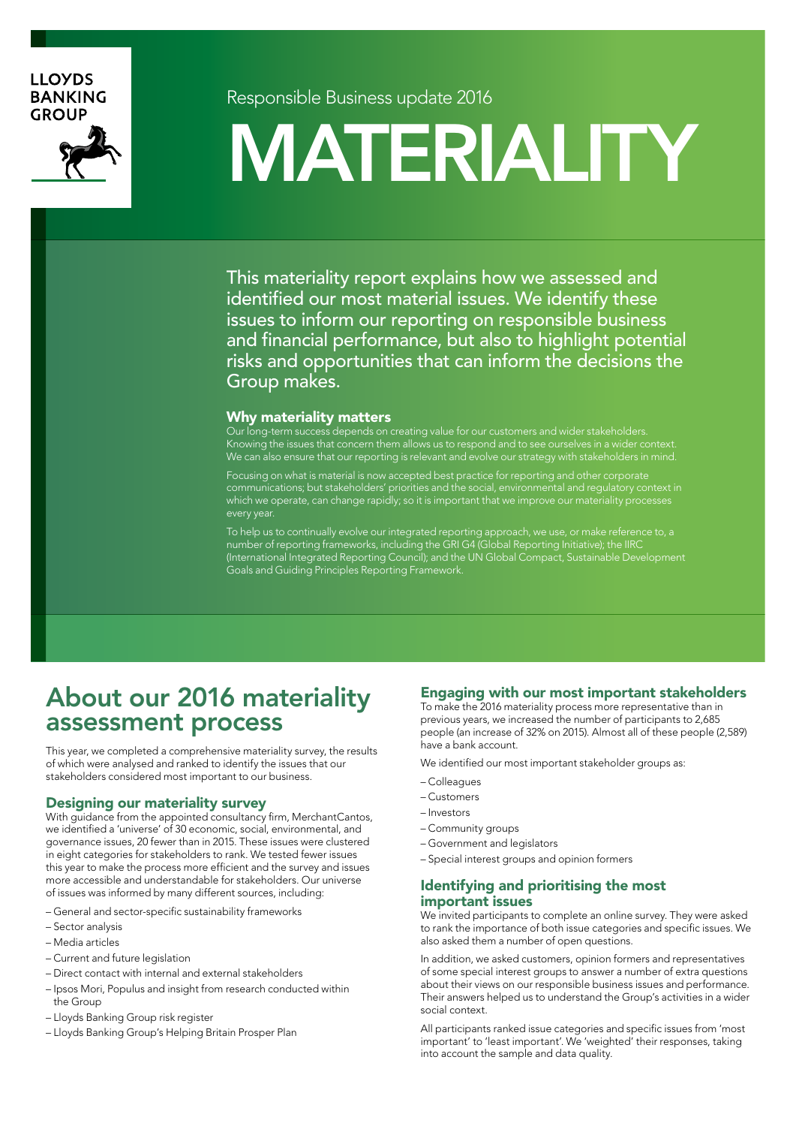#### **LLOYDS BANKING GROUP**



Responsible Business update 2016

# MATERIALITY

This materiality report explains how we assessed and identified our most material issues. We identify these issues to inform our reporting on responsible business and financial performance, but also to highlight potential risks and opportunities that can inform the decisions the Group makes.

#### Why materiality matters

Our long-term success depends on creating value for our customers and wider stakeholders. Knowing the issues that concern them allows us to respond and to see ourselves in a wider context. We can also ensure that our reporting is relevant and evolve our strategy with stakeholders in mind.

Focusing on what is material is now accepted best practice for reporting and other corporate communications; but stakeholders' priorities and the social, environmental and regulatory context in which we operate, can change rapidly; so it is important that we improve our materiality processes every year.

To help us to continually evolve our integrated reporting approach, we use, or make reference to, a number of reporting frameworks, including the GRI G4 (Global Reporting Initiative); the IIRC (International Integrated Reporting Council); and the UN Global Compact, Sustainable Development Goals and Guiding Principles Reporting Framework.

### About our 2016 materiality assessment process

This year, we completed a comprehensive materiality survey, the results of which were analysed and ranked to identify the issues that our stakeholders considered most important to our business.

#### Designing our materiality survey

With guidance from the appointed consultancy firm, MerchantCantos, we identified a 'universe' of 30 economic, social, environmental, and governance issues, 20 fewer than in 2015. These issues were clustered in eight categories for stakeholders to rank. We tested fewer issues this year to make the process more efficient and the survey and issues more accessible and understandable for stakeholders. Our universe of issues was informed by many different sources, including:

- General and sector-specific sustainability frameworks
- Sector analysis
- Media articles
- Current and future legislation
- Direct contact with internal and external stakeholders
- Ipsos Mori, Populus and insight from research conducted within the Group
- Lloyds Banking Group risk register
- Lloyds Banking Group's Helping Britain Prosper Plan

#### Engaging with our most important stakeholders

To make the 2016 materiality process more representative than in previous years, we increased the number of participants to 2,685 people (an increase of 32% on 2015). Almost all of these people (2,589) have a bank account.

We identified our most important stakeholder groups as:

- Colleagues
- Customers
- Investors
- Community groups
- Government and legislators
- Special interest groups and opinion formers

#### Identifying and prioritising the most important issues

We invited participants to complete an online survey. They were asked to rank the importance of both issue categories and specific issues. We also asked them a number of open questions.

In addition, we asked customers, opinion formers and representatives of some special interest groups to answer a number of extra questions about their views on our responsible business issues and performance. Their answers helped us to understand the Group's activities in a wider social context.

All participants ranked issue categories and specific issues from 'most important' to 'least important'. We 'weighted' their responses, taking into account the sample and data quality.